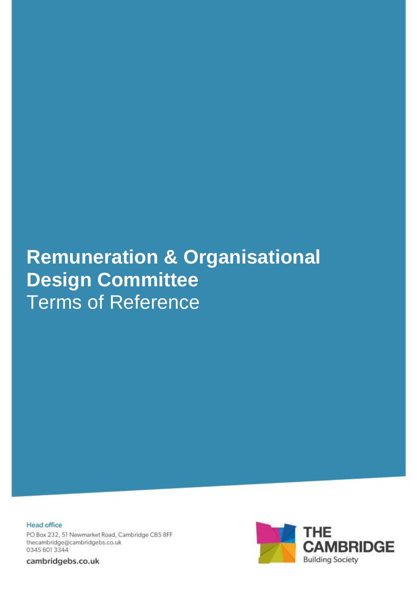# **Remuneration & Organisational Design Committee** Terms of Reference

**Head office** PO Box 232, 51 Newmarket Road, Cambridge CB5 8FF thecambridge@cambridgebs.co.uk 0345 601 3344

cambridgebs.co.uk

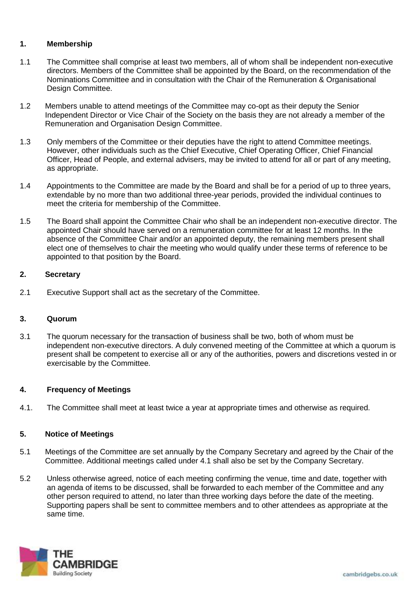# **1. Membership**

- 1.1 The Committee shall comprise at least two members, all of whom shall be independent non-executive directors. Members of the Committee shall be appointed by the Board, on the recommendation of the Nominations Committee and in consultation with the Chair of the Remuneration & Organisational Design Committee.
- 1.2 Members unable to attend meetings of the Committee may co-opt as their deputy the Senior Independent Director or Vice Chair of the Society on the basis they are not already a member of the Remuneration and Organisation Design Committee.
- 1.3 Only members of the Committee or their deputies have the right to attend Committee meetings. However, other individuals such as the Chief Executive, Chief Operating Officer, Chief Financial Officer, Head of People, and external advisers, may be invited to attend for all or part of any meeting, as appropriate.
- 1.4 Appointments to the Committee are made by the Board and shall be for a period of up to three years, extendable by no more than two additional three-year periods, provided the individual continues to meet the criteria for membership of the Committee.
- 1.5 The Board shall appoint the Committee Chair who shall be an independent non-executive director. The appointed Chair should have served on a remuneration committee for at least 12 months. In the absence of the Committee Chair and/or an appointed deputy, the remaining members present shall elect one of themselves to chair the meeting who would qualify under these terms of reference to be appointed to that position by the Board.

## **2. Secretary**

2.1 Executive Support shall act as the secretary of the Committee.

## **3. Quorum**

3.1 The quorum necessary for the transaction of business shall be two, both of whom must be independent non-executive directors. A duly convened meeting of the Committee at which a quorum is present shall be competent to exercise all or any of the authorities, powers and discretions vested in or exercisable by the Committee.

## **4. Frequency of Meetings**

4.1. The Committee shall meet at least twice a year at appropriate times and otherwise as required.

# **5. Notice of Meetings**

- 5.1 Meetings of the Committee are set annually by the Company Secretary and agreed by the Chair of the Committee. Additional meetings called under 4.1 shall also be set by the Company Secretary.
- 5.2 Unless otherwise agreed, notice of each meeting confirming the venue, time and date, together with an agenda of items to be discussed, shall be forwarded to each member of the Committee and any other person required to attend, no later than three working days before the date of the meeting. Supporting papers shall be sent to committee members and to other attendees as appropriate at the same time.

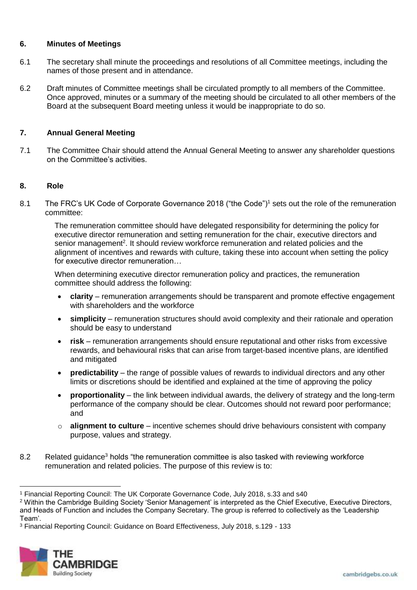## **6. Minutes of Meetings**

- 6.1 The secretary shall minute the proceedings and resolutions of all Committee meetings, including the names of those present and in attendance.
- 6.2 Draft minutes of Committee meetings shall be circulated promptly to all members of the Committee. Once approved, minutes or a summary of the meeting should be circulated to all other members of the Board at the subsequent Board meeting unless it would be inappropriate to do so.

# **7. Annual General Meeting**

7.1 The Committee Chair should attend the Annual General Meeting to answer any shareholder questions on the Committee's activities.

# **8. Role**

8.1 The FRC's UK Code of Corporate Governance 2018 ("the Code")<sup>1</sup> sets out the role of the remuneration committee:

The remuneration committee should have delegated responsibility for determining the policy for executive director remuneration and setting remuneration for the chair, executive directors and senior management<sup>2</sup>. It should review workforce remuneration and related policies and the alignment of incentives and rewards with culture, taking these into account when setting the policy for executive director remuneration…

When determining executive director remuneration policy and practices, the remuneration committee should address the following:

- **clarity** remuneration arrangements should be transparent and promote effective engagement with shareholders and the workforce
- **simplicity** remuneration structures should avoid complexity and their rationale and operation should be easy to understand
- **risk** remuneration arrangements should ensure reputational and other risks from excessive rewards, and behavioural risks that can arise from target-based incentive plans, are identified and mitigated
- **predictability** the range of possible values of rewards to individual directors and any other limits or discretions should be identified and explained at the time of approving the policy
- **proportionality** the link between individual awards, the delivery of strategy and the long-term performance of the company should be clear. Outcomes should not reward poor performance; and
- o **alignment to culture** incentive schemes should drive behaviours consistent with company purpose, values and strategy.
- 8.2 Related guidance<sup>3</sup> holds "the remuneration committee is also tasked with reviewing workforce remuneration and related policies. The purpose of this review is to:

<sup>3</sup> Financial Reporting Council: Guidance on Board Effectiveness, July 2018, s.129 - 133



 $\overline{a}$ <sup>1</sup> Financial Reporting Council: The UK Corporate Governance Code, July 2018, s.33 and s40

<sup>2</sup> Within the Cambridge Building Society 'Senior Management' is interpreted as the Chief Executive, Executive Directors, and Heads of Function and includes the Company Secretary. The group is referred to collectively as the 'Leadership Team'.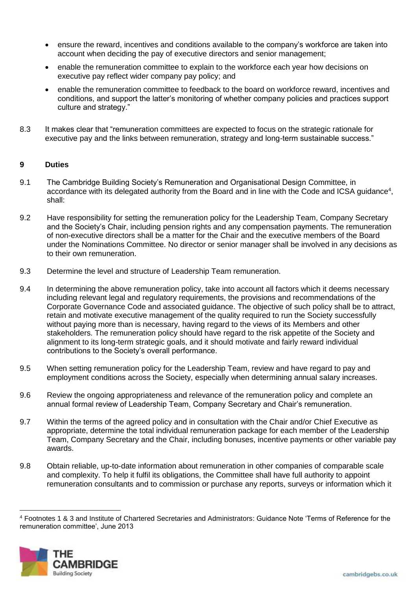- ensure the reward, incentives and conditions available to the company's workforce are taken into account when deciding the pay of executive directors and senior management;
- enable the remuneration committee to explain to the workforce each year how decisions on executive pay reflect wider company pay policy; and
- enable the remuneration committee to feedback to the board on workforce reward, incentives and conditions, and support the latter's monitoring of whether company policies and practices support culture and strategy."
- 8.3 It makes clear that "remuneration committees are expected to focus on the strategic rationale for executive pay and the links between remuneration, strategy and long-term sustainable success."

## **9 Duties**

- 9.1 The Cambridge Building Society's Remuneration and Organisational Design Committee, in accordance with its delegated authority from the Board and in line with the Code and ICSA guidance<sup>4</sup>, shall:
- 9.2 Have responsibility for setting the remuneration policy for the Leadership Team, Company Secretary and the Society's Chair, including pension rights and any compensation payments. The remuneration of non-executive directors shall be a matter for the Chair and the executive members of the Board under the Nominations Committee. No director or senior manager shall be involved in any decisions as to their own remuneration.
- 9.3 Determine the level and structure of Leadership Team remuneration.
- 9.4 In determining the above remuneration policy, take into account all factors which it deems necessary including relevant legal and regulatory requirements, the provisions and recommendations of the Corporate Governance Code and associated guidance. The objective of such policy shall be to attract, retain and motivate executive management of the quality required to run the Society successfully without paying more than is necessary, having regard to the views of its Members and other stakeholders. The remuneration policy should have regard to the risk appetite of the Society and alignment to its long-term strategic goals, and it should motivate and fairly reward individual contributions to the Society's overall performance.
- 9.5 When setting remuneration policy for the Leadership Team, review and have regard to pay and employment conditions across the Society, especially when determining annual salary increases.
- 9.6 Review the ongoing appropriateness and relevance of the remuneration policy and complete an annual formal review of Leadership Team, Company Secretary and Chair's remuneration.
- 9.7 Within the terms of the agreed policy and in consultation with the Chair and/or Chief Executive as appropriate, determine the total individual remuneration package for each member of the Leadership Team, Company Secretary and the Chair, including bonuses, incentive payments or other variable pay awards.
- 9.8 Obtain reliable, up-to-date information about remuneration in other companies of comparable scale and complexity. To help it fulfil its obligations, the Committee shall have full authority to appoint remuneration consultants and to commission or purchase any reports, surveys or information which it

<sup>4</sup> Footnotes 1 & 3 and Institute of Chartered Secretaries and Administrators: Guidance Note 'Terms of Reference for the remuneration committee', June 2013



l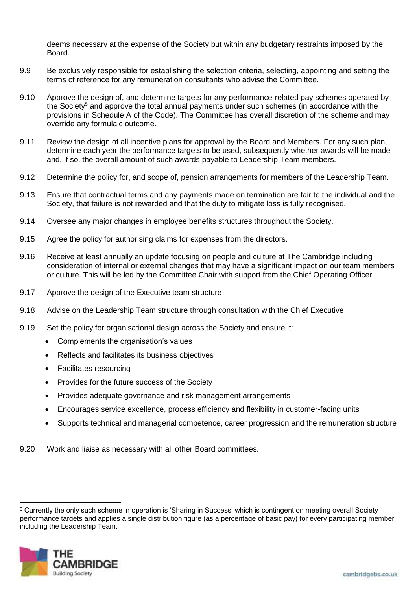deems necessary at the expense of the Society but within any budgetary restraints imposed by the Board.

- 9.9 Be exclusively responsible for establishing the selection criteria, selecting, appointing and setting the terms of reference for any remuneration consultants who advise the Committee.
- 9.10 Approve the design of, and determine targets for any performance-related pay schemes operated by the Society<sup>5</sup> and approve the total annual payments under such schemes (in accordance with the provisions in Schedule A of the Code). The Committee has overall discretion of the scheme and may override any formulaic outcome.
- 9.11 Review the design of all incentive plans for approval by the Board and Members. For any such plan, determine each year the performance targets to be used, subsequently whether awards will be made and, if so, the overall amount of such awards payable to Leadership Team members.
- 9.12 Determine the policy for, and scope of, pension arrangements for members of the Leadership Team.
- 9.13 Ensure that contractual terms and any payments made on termination are fair to the individual and the Society, that failure is not rewarded and that the duty to mitigate loss is fully recognised.
- 9.14 Oversee any major changes in employee benefits structures throughout the Society.
- 9.15 Agree the policy for authorising claims for expenses from the directors.
- 9.16 Receive at least annually an update focusing on people and culture at The Cambridge including consideration of internal or external changes that may have a significant impact on our team members or culture. This will be led by the Committee Chair with support from the Chief Operating Officer.
- 9.17 Approve the design of the Executive team structure
- 9.18 Advise on the Leadership Team structure through consultation with the Chief Executive
- 9.19 Set the policy for organisational design across the Society and ensure it:
	- Complements the organisation's values
	- Reflects and facilitates its business objectives
	- Facilitates resourcing
	- Provides for the future success of the Society
	- Provides adequate governance and risk management arrangements
	- Encourages service excellence, process efficiency and flexibility in customer-facing units
	- Supports technical and managerial competence, career progression and the remuneration structure
- 9.20 Work and liaise as necessary with all other Board committees.

<sup>5</sup> Currently the only such scheme in operation is 'Sharing in Success' which is contingent on meeting overall Society performance targets and applies a single distribution figure (as a percentage of basic pay) for every participating member including the Leadership Team.



 $\overline{a}$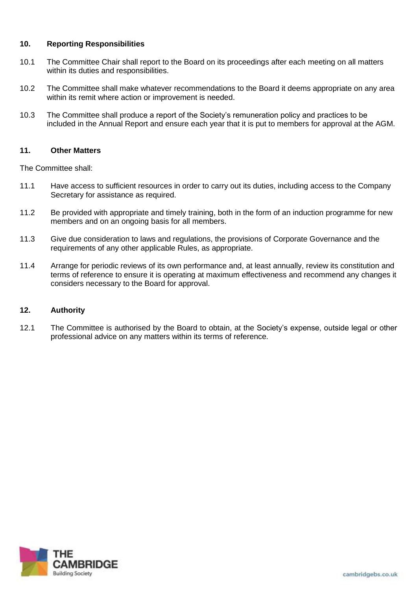## **10. Reporting Responsibilities**

- 10.1 The Committee Chair shall report to the Board on its proceedings after each meeting on all matters within its duties and responsibilities.
- 10.2 The Committee shall make whatever recommendations to the Board it deems appropriate on any area within its remit where action or improvement is needed.
- 10.3 The Committee shall produce a report of the Society's remuneration policy and practices to be included in the Annual Report and ensure each year that it is put to members for approval at the AGM.

## **11. Other Matters**

The Committee shall:

- 11.1 Have access to sufficient resources in order to carry out its duties, including access to the Company Secretary for assistance as required.
- 11.2 Be provided with appropriate and timely training, both in the form of an induction programme for new members and on an ongoing basis for all members.
- 11.3 Give due consideration to laws and regulations, the provisions of Corporate Governance and the requirements of any other applicable Rules, as appropriate.
- 11.4 Arrange for periodic reviews of its own performance and, at least annually, review its constitution and terms of reference to ensure it is operating at maximum effectiveness and recommend any changes it considers necessary to the Board for approval.

## **12. Authority**

12.1 The Committee is authorised by the Board to obtain, at the Society's expense, outside legal or other professional advice on any matters within its terms of reference.